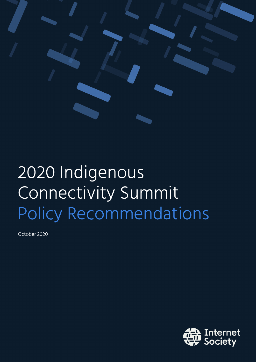

# 2020 Indigenous Connectivity Summit Policy Recommendations

October 2020

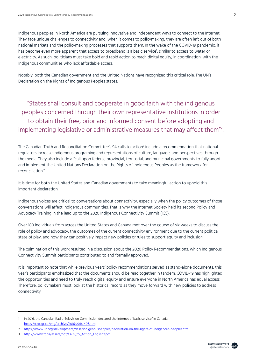Indigenous peoples in North America are pursuing innovative and independent ways to connect to the Internet. They face unique challenges to connectivity and, when it comes to policymaking, they are often left out of both national markets and the policymaking processes that supports them. In the wake of the COVID-19 pandemic, it has become even more apparent that access to broadband is a basic service<sup>1</sup>, similar to access to water or electricity. As such, politicians must take bold and rapid action to reach digital equity, in coordination, with the Indigenous communities who lack affordable access.

Notably, both the Canadian government and the United Nations have recognized this critical role. The UN's Declaration on the Rights of Indigenous Peoples states:

"States shall consult and cooperate in good faith with the indigenous peoples concerned through their own representative institutions in order to obtain their free, prior and informed consent before adopting and implementing legislative or administrative measures that may affect them"2 .

The Canadian Truth and Reconciliation Committee's 94 calls to action<sup>3</sup> include a recommendation that national regulators increase Indigenous programing and representations of culture, language, and perspectives through the media. They also include a "call upon federal, provincial, territorial, and municipal governments to fully adopt and implement the United Nations Declaration on the Rights of Indigenous Peoples as the framework for reconciliation."

It is time for both the United States and Canadian governments to take meaningful action to uphold this important declaration.

Indigenous voices are critical to conversations about connectivity, especially when the policy outcomes of those conversations will affect Indigenous communities. That is why the Internet Society held its second Policy and Advocacy Training in the lead up to the 2020 Indigenous Connectivity Summit (ICS).

Over 180 individuals from across the United States and Canada met over the course of six weeks to discuss the role of policy and advocacy, the outcomes of the current connectivity environment due to the current political state of play, and how they can positively impact new policies or rules to support equity and inclusion.

The culmination of this work resulted in a discussion about the 2020 Policy Recommendations, which Indigenous Connectivity Summit participants contributed to and formally approved.

It is important to note that while previous years' policy recommendations served as stand-alone documents, this year's participants emphasized that the documents should be read together in tandem. COVID-19 has highlighted the opportunities and need to truly reach digital equity and ensure everyone in North America has equal access. Therefore, policymakers must look at the historical record as they move forward with new policies to address connectivity.



<sup>1</sup> In 2016, the Canadian Radio-Television Commission declared the Internet a "basic service" in Canada: https://crtc.gc.ca/eng/archive/2016/2016-496.htm

<sup>2</sup> https://www.un.org/development/desa/indigenouspeoples/declaration-on-the-rights-of-indigenous-peoples.html

<sup>3</sup> http://www.trc.ca/assets/pdf/Calls\_to\_Action\_English2.pdf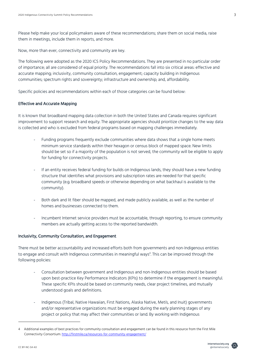Please help make your local policymakers aware of these recommendations; share them on social media, raise them in meetings, include them in reports, and more.

Now, more than ever, connectivity and community are key.

The following were adopted as the 2020 ICS Policy Recommendations. They are presented in no particular order of importance; all are considered of equal priority. The recommendations fall into six critical areas: effective and accurate mapping; inclusivity, community consultation, engagement; capacity building in Indigenous communities; spectrum rights and sovereignty; infrastructure and ownership; and, affordability.

Specific policies and recommendations within each of those categories can be found below:

## Effective and Accurate Mapping

It is known that broadband mapping data collection in both the United States and Canada requires significant improvement to support research and equity. The appropriate agencies should prioritize changes to the way data is collected and who is excluded from federal programs based on mapping challenges immediately.

- Funding programs frequently exclude communities where data shows that a single home meets minimum service standards within their hexagon or census block of mapped space. New limits should be set so if a majority of the population is not served, the community will be eligible to apply for funding for connectivity projects.
- If an entity receives federal funding for builds on Indigenous lands, they should have a new funding structure that identifies what provisions and subscription rates are needed for that specific community (e.g. broadband speeds or otherwise depending on what backhaul is available to the community).
- Both dark and lit fiber should be mapped, and made publicly available, as well as the number of homes and businesses connected to them.
- Incumbent Internet service providers must be accountable, through reporting, to ensure community members are actually getting access to the reported bandwidth.

### Inclusivity, Community Consultation, and Engagement

There must be better accountability and increased efforts both from governments and non-Indigenous entities to engage and consult with Indigenous communities in meaningful ways<sup>4</sup>. This can be improved through the following policies:

- Consultation between government and Indigenous and non-Indigenous entities should be based upon best-practice Key Performance Indicators (KPIs) to determine if the engagement is meaningful. These specific KPIs should be based on community needs, clear project timelines, and mutually understood goals and definitions.
- Indigenous (Tribal, Native Hawaiian, First Nations, Alaska Native, Metís, and Inuit) governments and/or representative organizations must be engaged during the early planning stages of any project or policy that may affect their communities or land. By working with Indigenous



<sup>4</sup> Additional examples of best practices for community consultation and engagement can be found in this resource from the First Mile Connectivity Consortium: http://firstmile.ca/resources-for-community-engagement/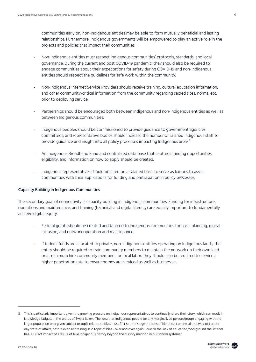communities early on, non-Indigenous entities may be able to form mutually beneficial and lasting relationships. Furthermore, Indigenous governments will be empowered to play an active role in the projects and policies that impact their communities.

- Non-Indigenous entities must respect Indigenous communities' protocols, standards, and local governance. During the current and post COVID-19 pandemic, they should also be required to engage communities about their expectations for safety during COVID-19 and non-Indigenous entities should respect the guidelines for safe work within the community.
- Non-Indigenous Internet Service Providers should receive training, cultural education information, and other community-critical information from the community regarding sacred sites, norms, etc. prior to deploying service.
- Partnerships should be encouraged both between Indigenous and non-Indigenous entities as well as between Indigenous communities.
- Indigenous peoples should be commissioned to provide guidance to government agencies, committees, and representative bodies should increase the number of salaried Indigenous staff to provide guidance and insight into all policy processes impacting Indigenous areas.5
- An Indigenous Broadband Fund and centralized data base that captures funding opportunities, eligibility, and information on how to apply should be created.
- Indigenous representatives should be hired on a salaried basis to serve as liaisons to assist communities with their applications for funding and participation in policy processes.

### Capacity Building in Indigenous Communities

The secondary goal of connectivity is capacity building in Indigenous communities. Funding for infrastructure, operations and maintenance, and training (technical and digital literacy) are equally important to fundamentally achieve digital equity.

- Federal grants should be created and tailored to Indigenous communities for basic planning, digital inclusion, and network operation and maintenance.
- If federal funds are allocated to private, non-Indigenous entities operating on Indigenous lands, that entity should be required to train community members to maintain the network on their own land or at minimum hire community members for local labor. They should also be required to service a higher penetration rate to ensure homes are serviced as well as businesses.



<sup>5</sup> This is particularly important given the growing pressure on Indigenous representatives to continually share their story, which can result in knowledge fatigue. In the words of Twyla Baker, "The idea that Indigenous people (or any marginalized person/group) engaging with the larger population on a given subject or topic related to bias, must first set the stage in terms of historical context all the way to current day state of affairs, before even addressing said topic of bias - over and over again - due to the lack of education/background the listener has. A Direct impact of erasure of true Indigenous history beyond the cursory mention in our school systems."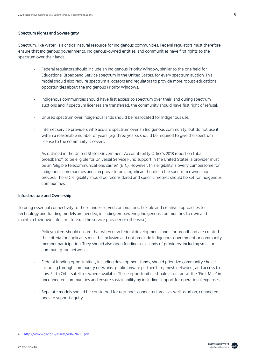## Spectrum Rights and Sovereignty

Spectrum, like water, is a critical natural resource for Indigenous communities. Federal regulators must therefore ensure that Indigenous governments, Indigenous-owned entities, and communities have first rights to the spectrum over their lands.

- Federal regulators should include an Indigenous Priority Window, similar to the one held for Educational Broadband Service spectrum in the United States, for every spectrum auction. This model should also require spectrum allocators and regulators to provide more robust educational opportunities about the Indigenous Priority Windows.
- Indigenous communities should have first access to spectrum over their land during spectrum auctions and if spectrum licenses are transferred, the community should have first right of refusal.
- Unused spectrum over Indigenous lands should be reallocated for Indigenous use.
- Internet service providers who acquire spectrum over an Indigenous community, but do not use it within a reasonable number of years (e.g. three years), should be required to give the spectrum license to the community it covers.
- As outlined in the United States Government Accountability Office's 2018 report on tribal broadband<sup>6</sup>, to be eligible for Universal Service Fund support in the United States, a provider must be an "eligible telecommunications carrier" (ETC). However, this eligibility is overly cumbersome for Indigenous communities and can prove to be a significant hurdle in the spectrum ownership process. The ETC eligibility should be reconsidered and specific metrics should be set for Indigenous communities.

### Infrastructure and Ownership

To bring essential connectivity to these under-served communities, flexible and creative approaches to technology and funding models are needed, including empowering Indigenous communities to own and maintain their own infrastructure (as the service provider or otherwise).

- Policymakers should ensure that when new federal development funds for broadband are created, the criteria for applicants must be inclusive and not preclude Indigenous government or community member participation. They should also open funding to all kinds of providers, including small or community-run networks.
- Federal funding opportunities, including development funds, should prioritize community choice, including through community networks, public-private partnerships, mesh networks, and access to Low Earth Orbit satellites where available. These opportunities should also start at the "First Mile" in unconnected communities and ensure sustainability by including support for operational expenses.
- Separate models should be considered for un/under-connected areas as well as urban, connected ones to support equity.



<sup>6</sup> https://www.gao.gov/assets/700/694810.pdf